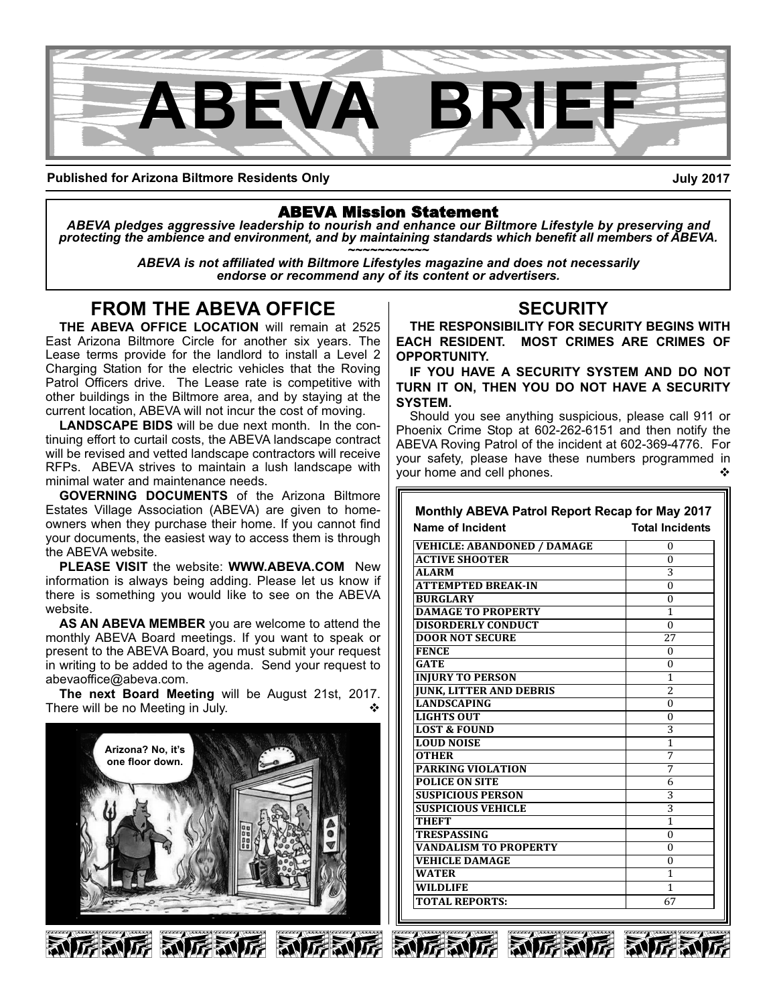

**Published for Arizona Biltmore Residents Only**

**July 2017**

# ABEVA Mission Statement

*ABEVA pledges aggressive leadership to nourish and enhance our Biltmore Lifestyle by preserving and* protecting the ambience and environment, and by maintaining standards which benefit all members of ABEVA.<br>ABEVA is not affiliated with Biltmore Lifestyles magazine and does not necessarily

*endorse or recommend any of its content or advertisers.*

# **FROM THE ABEVA OFFICE**

**THE ABEVA OFFICE LOCATION** will remain at 2525 East Arizona Biltmore Circle for another six years. The Lease terms provide for the landlord to install a Level 2 Charging Station for the electric vehicles that the Roving Patrol Officers drive. The Lease rate is competitive with other buildings in the Biltmore area, and by staying at the current location, ABEVA will not incur the cost of moving.

**LANDSCAPE BIDS** will be due next month. In the continuing effort to curtail costs, the ABEVA landscape contract will be revised and vetted landscape contractors will receive RFPs. ABEVA strives to maintain a lush landscape with minimal water and maintenance needs.

**GOVERNING DOCUMENTS** of the Arizona Biltmore Estates Village Association (ABEVA) are given to homeowners when they purchase their home. If you cannot find your documents, the easiest way to access them is through the ABEVA website.

**PLEASE VISIT** the website: **WWW.ABEVA.COM** New information is always being adding. Please let us know if there is something you would like to see on the ABEVA website.

**AS AN ABEVA MEMBER** you are welcome to attend the monthly ABEVA Board meetings. If you want to speak or present to the ABEVA Board, you must submit your request in writing to be added to the agenda. Send your request to abevaoffice@abeva.com.

**The next Board Meeting** will be August 21st, 2017. There will be no Meeting in July.



# **SECURITY**

**THE RESPONSIBILITY FOR SECURITY BEGINS WITH EACH RESIDENT. MOST CRIMES ARE CRIMES OF OPPORTUNITY.** 

**IF YOU HAVE A SECURITY SYSTEM AND DO NOT TURN IT ON, THEN YOU DO NOT HAVE A SECURITY SYSTEM.**

Should you see anything suspicious, please call 911 or Phoenix Crime Stop at 602-262-6151 and then notify the ABEVA Roving Patrol of the incident at 602-369-4776. For your safety, please have these numbers programmed in vour home and cell phones.

| <b>Monthly ABEVA Patrol Report Recap for May 2017</b> |                        |
|-------------------------------------------------------|------------------------|
| Name of Incident                                      | <b>Total Incidents</b> |
| <b>VEHICLE: ABANDONED / DAMAGE</b>                    | $\Omega$               |
| <b>ACTIVE SHOOTER</b>                                 | $\Omega$               |
| <b>ALARM</b>                                          | 3                      |
| <b>ATTEMPTED BREAK-IN</b>                             | $\Omega$               |
| <b>BURGLARY</b>                                       | $\Omega$               |
| <b>DAMAGE TO PROPERTY</b>                             | 1                      |
| <b>DISORDERLY CONDUCT</b>                             | $\Omega$               |
| <b>DOOR NOT SECURE</b>                                | 27                     |
| <b>FENCE</b>                                          | $\Omega$               |
| <b>GATE</b>                                           | 0                      |
| <b>INJURY TO PERSON</b>                               | 1                      |
| <b>JUNK, LITTER AND DEBRIS</b>                        | 2                      |
| <b>LANDSCAPING</b>                                    | $\Omega$               |
| <b>LIGHTS OUT</b>                                     | $\Omega$               |
| <b>LOST &amp; FOUND</b>                               | 3                      |
| <b>LOUD NOISE</b>                                     | 1                      |
| <b>OTHER</b>                                          | 7                      |
| <b>PARKING VIOLATION</b>                              | 7                      |
| <b>POLICE ON SITE</b>                                 | 6                      |
| <b>SUSPICIOUS PERSON</b>                              | 3                      |
| <b>SUSPICIOUS VEHICLE</b>                             | 3                      |
| <b>THEFT</b>                                          | 1                      |
| <b>TRESPASSING</b>                                    | $\Omega$               |
| <b>VANDALISM TO PROPERTY</b>                          | $\Omega$               |
| <b>VEHICLE DAMAGE</b>                                 | $\Omega$               |
| <b>WATER</b>                                          | 1                      |
| <b>WILDLIFE</b>                                       | 1                      |
| <b>TOTAL REPORTS:</b>                                 | 67                     |





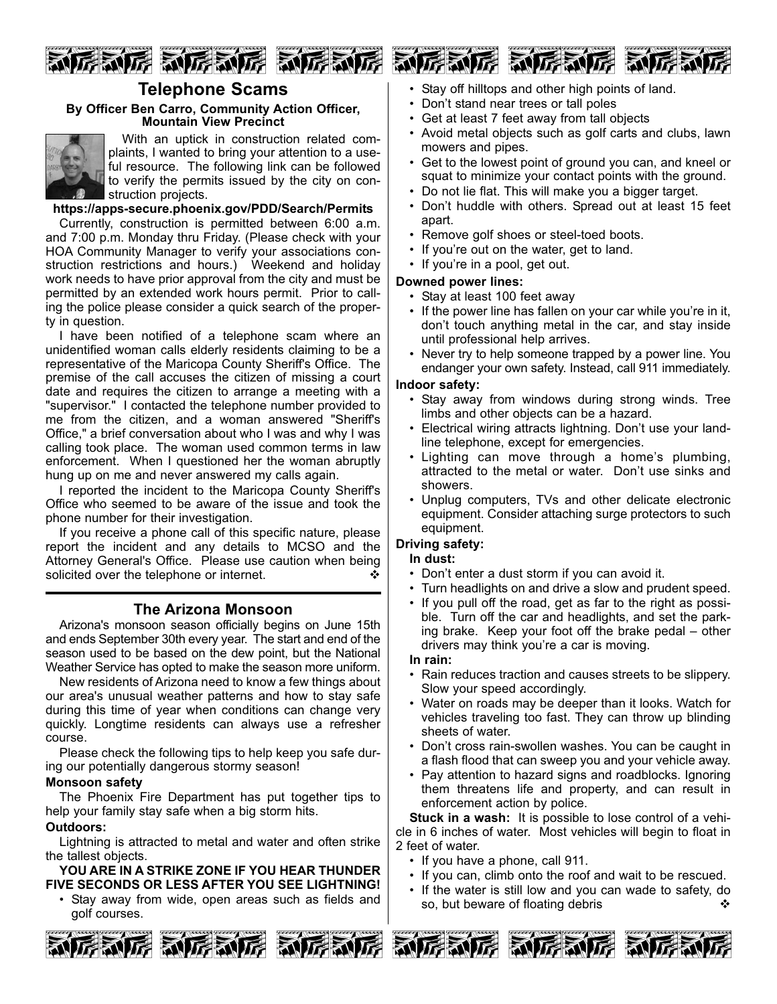

# **Telephone Scams**

## **By Officer Ben Carro, Community Action Officer, Mountain View Precinct**



With an uptick in construction related complaints, I wanted to bring your attention to a useful resource. The following link can be followed to verify the permits issued by the city on construction projects.

**https://appssecure.phoenix.gov/PDD/Search/Permits**

Currently, construction is permitted between 6:00 a.m. and 7:00 p.m. Monday thru Friday. (Please check with your HOA Community Manager to verify your associations construction restrictions and hours.) Weekend and holiday work needs to have prior approval from the city and must be permitted by an extended work hours permit. Prior to calling the police please consider a quick search of the property in question.

I have been notified of a telephone scam where an unidentified woman calls elderly residents claiming to be a representative of the Maricopa County Sheriff's Office. The premise of the call accuses the citizen of missing a court date and requires the citizen to arrange a meeting with a "supervisor." I contacted the telephone number provided to me from the citizen, and a woman answered "Sheriff's Office," a brief conversation about who I was and why I was calling took place. The woman used common terms in law enforcement. When I questioned her the woman abruptly hung up on me and never answered my calls again.

I reported the incident to the Maricopa County Sheriff's Office who seemed to be aware of the issue and took the phone number for their investigation.

If you receive a phone call of this specific nature, please report the incident and any details to MCSO and the Attorney General's Office. Please use caution when being solicited over the telephone or internet.  $\cdot$ 

## **The Arizona Monsoon**

Arizona's monsoon season officially begins on June 15th and ends September 30th every year. The start and end of the season used to be based on the dew point, but the National Weather Service has opted to make the season more uniform.

New residents of Arizona need to know a few things about our area's unusual weather patterns and how to stay safe during this time of year when conditions can change very quickly. Longtime residents can always use a refresher course.

Please check the following tips to help keep you safe during our potentially dangerous stormy season!

### **Monsoon safety**

The Phoenix Fire Department has put together tips to help your family stay safe when a big storm hits.

## **Outdoors:**

Lightning is attracted to metal and water and often strike the tallest objects.

**YOU ARE IN A STRIKE ZONE IF YOU HEAR THUNDER FIVE SECONDS OR LESS AFTER YOU SEE LIGHTNING!**

• Stay away from wide, open areas such as fields and golf courses.



- Stay off hilltops and other high points of land.
- Don't stand near trees or tall poles
- Get at least 7 feet away from tall objects
- Avoid metal objects such as golf carts and clubs, lawn mowers and pipes.
- Get to the lowest point of ground you can, and kneel or squat to minimize your contact points with the ground.
- Do not lie flat. This will make you a bigger target.
- Don't huddle with others. Spread out at least 15 feet apart.
- Remove golf shoes or steel-toed boots.
- If you're out on the water, get to land.
- If you're in a pool, get out.

### **Downed power lines:**

- Stay at least 100 feet away
- If the power line has fallen on your car while you're in it, don't touch anything metal in the car, and stay inside until professional help arrives.
- Never try to help someone trapped by a power line. You endanger your own safety. Instead, call 911 immediately.

### **Indoor safety:**

- Stay away from windows during strong winds. Tree limbs and other objects can be a hazard.
- Electrical wiring attracts lightning. Don't use your landline telephone, except for emergencies.
- Lighting can move through a home's plumbing, attracted to the metal or water. Don't use sinks and showers.
- Unplug computers, TVs and other delicate electronic equipment. Consider attaching surge protectors to such equipment.

## **Driving safety:**

#### **In dust:**

- Don't enter a dust storm if you can avoid it.
- Turn headlights on and drive a slow and prudent speed.
- If you pull off the road, get as far to the right as possible. Turn off the car and headlights, and set the parking brake. Keep your foot off the brake pedal – other drivers may think you're a car is moving.

## **In rain:**

- Rain reduces traction and causes streets to be slippery. Slow your speed accordingly.
- Water on roads may be deeper than it looks. Watch for vehicles traveling too fast. They can throw up blinding sheets of water.
- Don't cross rain-swollen washes. You can be caught in a flash flood that can sweep you and your vehicle away.
- Pay attention to hazard signs and roadblocks. Ignoring them threatens life and property, and can result in enforcement action by police.

**Stuck in a wash:** It is possible to lose control of a vehicle in 6 inches of water. Most vehicles will begin to float in 2 feet of water.

- If you have a phone, call 911.
- If you can, climb onto the roof and wait to be rescued.
- If the water is still low and you can wade to safety, do so, but beware of floating debris



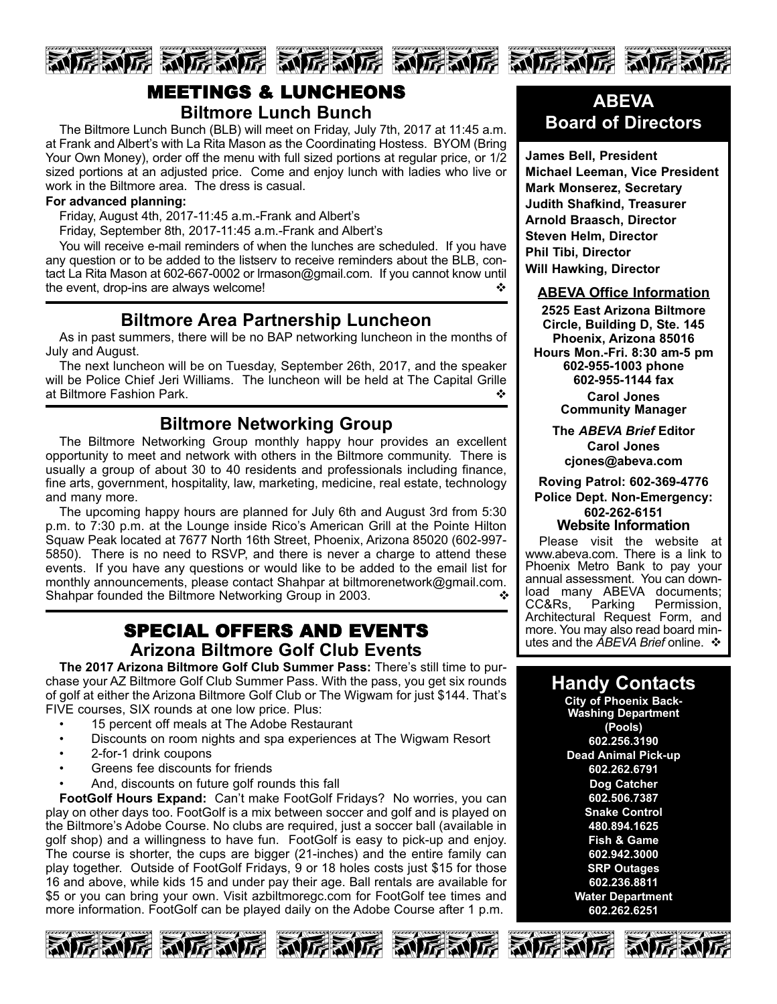

# MEETINGS & LUNCHEONS **Biltmore Lunch Bunch**

The Biltmore Lunch Bunch (BLB) will meet on Friday, July 7th, 2017 at 11:45 a.m. at Frank and Albert's with La Rita Mason as the Coordinating Hostess. BYOM (Bring Your Own Money), order off the menu with full sized portions at regular price, or 1/2 sized portions at an adjusted price. Come and enjoy lunch with ladies who live or work in the Biltmore area. The dress is casual.

### **For advanced planning:**

Friday, August 4th, 2017-11:45 a.m.-Frank and Albert's

Friday, September 8th, 2017-11:45 a.m.-Frank and Albert's

You will receive e-mail reminders of when the lunches are scheduled. If you have any question or to be added to the listserv to receive reminders about the BLB, contact La Rita Mason at 602-667-0002 or Irmason@gmail.com. If you cannot know until the event, drop-ins are always welcome!

# **Biltmore Area Partnership Luncheon**

As in past summers, there will be no BAP networking luncheon in the months of July and August.

The next luncheon will be on Tuesday, September 26th, 2017, and the speaker will be Police Chief Jeri Williams. The luncheon will be held at The Capital Grille at Biltmore Fashion Park. v

# **Biltmore Networking Group**

The Biltmore Networking Group monthly happy hour provides an excellent opportunity to meet and network with others in the Biltmore community. There is usually a group of about 30 to 40 residents and professionals including finance, fine arts, government, hospitality, law, marketing, medicine, real estate, technology and many more.

The upcoming happy hours are planned for July 6th and August 3rd from 5:30 p.m. to 7:30 p.m. at the Lounge inside Rico's American Grill at the Pointe Hilton Squaw Peak located at 7677 North 16th Street, Phoenix, Arizona 85020 (602-997-5850). There is no need to RSVP, and there is never a charge to attend these events. If you have any questions or would like to be added to the email list for monthly announcements, please contact Shahpar at biltmorenetwork@gmail.com. Shahpar founded the Biltmore Networking Group in 2003.

# SPECIAL OFFERS AND EVENTS **Arizona Biltmore Golf Club Events**

**The 2017 Arizona Biltmore Golf Club Summer Pass:** There's still time to purchase your AZ Biltmore Golf Club Summer Pass. With the pass, you get six rounds of golf at either the Arizona Biltmore Golf Club or The Wigwam for just \$144. That's FIVE courses, SIX rounds at one low price. Plus:

- 15 percent off meals at The Adobe Restaurant
- Discounts on room nights and spa experiences at The Wigwam Resort
- 2-for-1 drink coupons
- Greens fee discounts for friends
- And, discounts on future golf rounds this fall

**FootGolf Hours Expand:** Can't make FootGolf Fridays? No worries, you can play on other days too. FootGolf is a mix between soccer and golf and is played on the Biltmore's Adobe Course. No clubs are required, just a soccer ball (available in golf shop) and a willingness to have fun. FootGolf is easy to pick-up and enjoy. The course is shorter, the cups are bigger (21-inches) and the entire family can play together. Outside of FootGolf Fridays, 9 or 18 holes costs just \$15 for those 16 and above, while kids 15 and under pay their age. Ball rentals are available for \$5 or you can bring your own. Visit azbiltmoregc.com for FootGolf tee times and more information. FootGolf can be played daily on the Adobe Course after 1 p.m.











**James Bell, President Michael Leeman, Vice President Mark Monserez, Secretary Judith Shafkind, Treasurer Arnold Braasch, Director Steven Helm, Director Phil Tibi, Director Will Hawking, Director**

### **ABEVA Office Information**

**2525 East Arizona Biltmore Circle, Building D, Ste. 145 Phoenix, Arizona 85016 Hours Mon.Fri. 8:30 am5 pm 6029551003 phone 6029551144 fax Carol Jones Community Manager**

> **The** *ABEVA Brief* **Editor Carol Jones cjones@abeva.com**

**Roving Patrol: 6023694776 Police Dept. Non-Emergency: 6022626151 Website Information**

Please visit the website at www.abeva.com. There is a link to Phoenix Metro Bank to pay your annual assessment. You can download many ABEVA documents;<br>CC&Rs, Parking Permission, Parking Permission, Architectural Request Form, and more. You may also read board minutes and the *ABEVA Brief* online. ❖

# **Handy Contacts**

**City of Phoenix Back-Washing Department (Pools) 602.256.3190 Dead Animal Pick-up 602.262.6791 Dog Catcher 602.506.7387 Snake Control 480.894.1625 Fish & Game 602.942.3000 SRP Outages 602.236.8811 Water Department 602.262.6251**